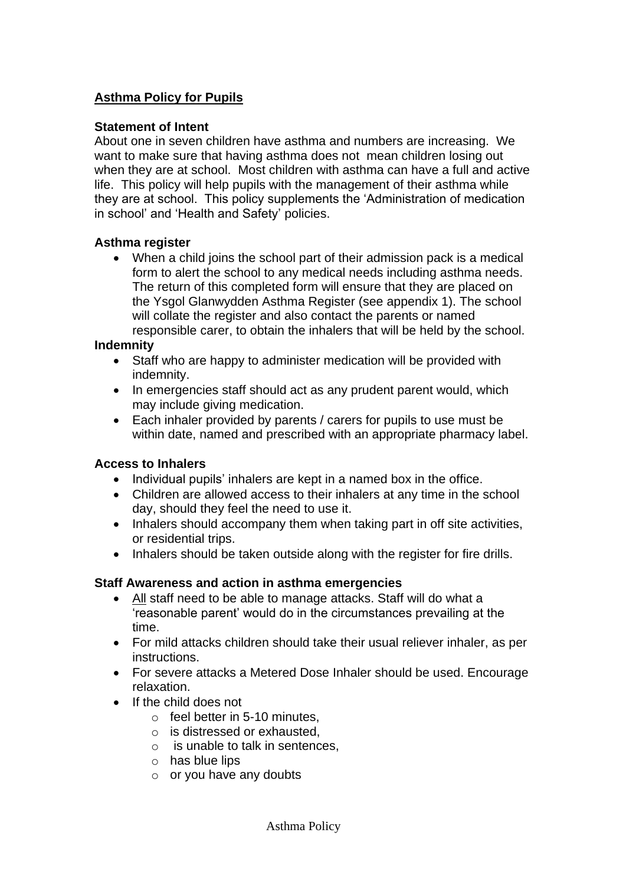### **Asthma Policy for Pupils**

### **Statement of Intent**

About one in seven children have asthma and numbers are increasing. We want to make sure that having asthma does not mean children losing out when they are at school. Most children with asthma can have a full and active life. This policy will help pupils with the management of their asthma while they are at school. This policy supplements the 'Administration of medication in school' and 'Health and Safety' policies.

### **Asthma register**

 When a child joins the school part of their admission pack is a medical form to alert the school to any medical needs including asthma needs. The return of this completed form will ensure that they are placed on the Ysgol Glanwydden Asthma Register (see appendix 1). The school will collate the register and also contact the parents or named responsible carer, to obtain the inhalers that will be held by the school.

#### **Indemnity**

- Staff who are happy to administer medication will be provided with indemnity.
- In emergencies staff should act as any prudent parent would, which may include giving medication.
- Each inhaler provided by parents / carers for pupils to use must be within date, named and prescribed with an appropriate pharmacy label.

#### **Access to Inhalers**

- Individual pupils' inhalers are kept in a named box in the office.
- Children are allowed access to their inhalers at any time in the school day, should they feel the need to use it.
- Inhalers should accompany them when taking part in off site activities, or residential trips.
- Inhalers should be taken outside along with the register for fire drills.

#### **Staff Awareness and action in asthma emergencies**

- All staff need to be able to manage attacks. Staff will do what a 'reasonable parent' would do in the circumstances prevailing at the time.
- For mild attacks children should take their usual reliever inhaler, as per instructions.
- For severe attacks a Metered Dose Inhaler should be used. Encourage relaxation.
- If the child does not
	- $\circ$  feel better in 5-10 minutes.
	- o is distressed or exhausted,
	- $\circ$  is unable to talk in sentences,
	- o has blue lips
	- $\circ$  or you have any doubts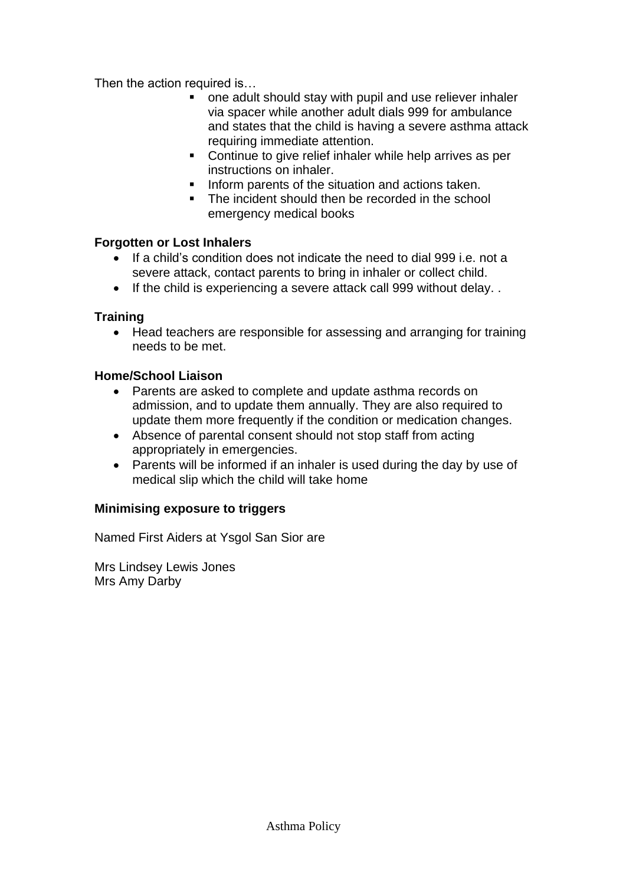Then the action required is…

- one adult should stay with pupil and use reliever inhaler via spacer while another adult dials 999 for ambulance and states that the child is having a severe asthma attack requiring immediate attention.
- Continue to give relief inhaler while help arrives as per instructions on inhaler.
- Inform parents of the situation and actions taken.
- The incident should then be recorded in the school emergency medical books

### **Forgotten or Lost Inhalers**

- If a child's condition does not indicate the need to dial 999 i.e. not a severe attack, contact parents to bring in inhaler or collect child.
- If the child is experiencing a severe attack call 999 without delay. .

# **Training**

• Head teachers are responsible for assessing and arranging for training needs to be met.

# **Home/School Liaison**

- Parents are asked to complete and update asthma records on admission, and to update them annually. They are also required to update them more frequently if the condition or medication changes.
- Absence of parental consent should not stop staff from acting appropriately in emergencies.
- Parents will be informed if an inhaler is used during the day by use of medical slip which the child will take home

# **Minimising exposure to triggers**

Named First Aiders at Ysgol San Sior are

Mrs Lindsey Lewis Jones Mrs Amy Darby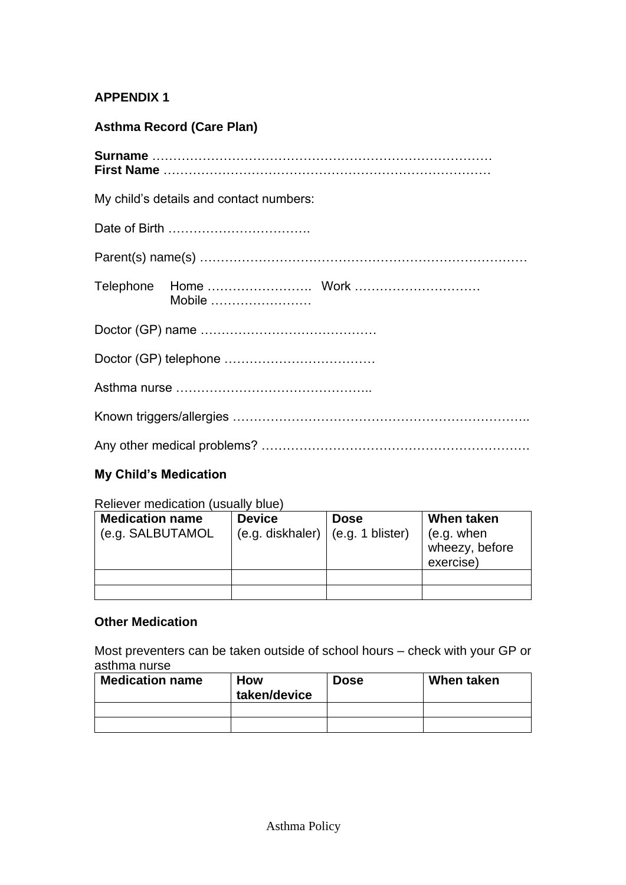### **APPENDIX 1**

# **Asthma Record (Care Plan)**

| My child's details and contact numbers: |        |  |  |  |  |
|-----------------------------------------|--------|--|--|--|--|
|                                         |        |  |  |  |  |
|                                         |        |  |  |  |  |
|                                         | Mobile |  |  |  |  |
|                                         |        |  |  |  |  |
|                                         |        |  |  |  |  |
|                                         |        |  |  |  |  |
|                                         |        |  |  |  |  |
|                                         |        |  |  |  |  |

# **My Child's Medication**

Reliever medication (usually blue)

| <b>Medication name</b><br>(e.g. SALBUTAMOL | <b>Device</b><br>(e.g. diskhaler)   (e.g. 1 blister) | <b>Dose</b> | When taken<br>(e.g. when<br>wheezy, before<br>exercise) |
|--------------------------------------------|------------------------------------------------------|-------------|---------------------------------------------------------|
|                                            |                                                      |             |                                                         |
|                                            |                                                      |             |                                                         |

# **Other Medication**

Most preventers can be taken outside of school hours – check with your GP or asthma nurse

| <b>Medication name</b> | <b>How</b><br>taken/device | <b>Dose</b> | When taken |
|------------------------|----------------------------|-------------|------------|
|                        |                            |             |            |
|                        |                            |             |            |